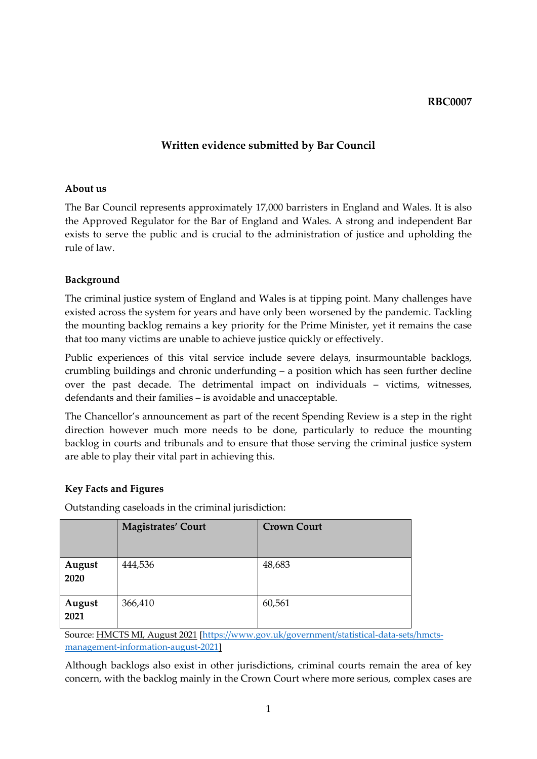#### **RBC0007**

# **Written evidence submitted by Bar Council**

#### **About us**

The Bar Council represents approximately 17,000 barristers in England and Wales. It is also the Approved Regulator for the Bar of England and Wales. A strong and independent Bar exists to serve the public and is crucial to the administration of justice and upholding the rule of law.

## **Background**

The criminal justice system of England and Wales is at tipping point. Many challenges have existed across the system for years and have only been worsened by the pandemic. Tackling the mounting backlog remains a key priority for the Prime Minister, yet it remains the case that too many victims are unable to achieve justice quickly or effectively.

Public experiences of this vital service include severe delays, insurmountable backlogs, crumbling buildings and chronic underfunding – a position which has seen further decline over the past decade. The detrimental impact on individuals – victims, witnesses, defendants and their families – is avoidable and unacceptable.

The Chancellor's announcement as part of the recent Spending Review is a step in the right direction however much more needs to be done, particularly to reduce the mounting backlog in courts and tribunals and to ensure that those serving the criminal justice system are able to play their vital part in achieving this.

## **Key Facts and Figures**

Outstanding caseloads in the criminal jurisdiction:

|                | <b>Magistrates' Court</b> | <b>Crown Court</b> |
|----------------|---------------------------|--------------------|
| August<br>2020 | 444,536                   | 48,683             |
| August<br>2021 | 366,410                   | 60,561             |

Source: HMCTS MI, August 2021 [[https://www.gov.uk/government/statistical-data-sets/hmcts](https://www.gov.uk/government/statistical-data-sets/hmcts-management-information-august-2021)[management-information-august-2021\]](https://www.gov.uk/government/statistical-data-sets/hmcts-management-information-august-2021)

Although backlogs also exist in other jurisdictions, criminal courts remain the area of key concern, with the backlog mainly in the Crown Court where more serious, complex cases are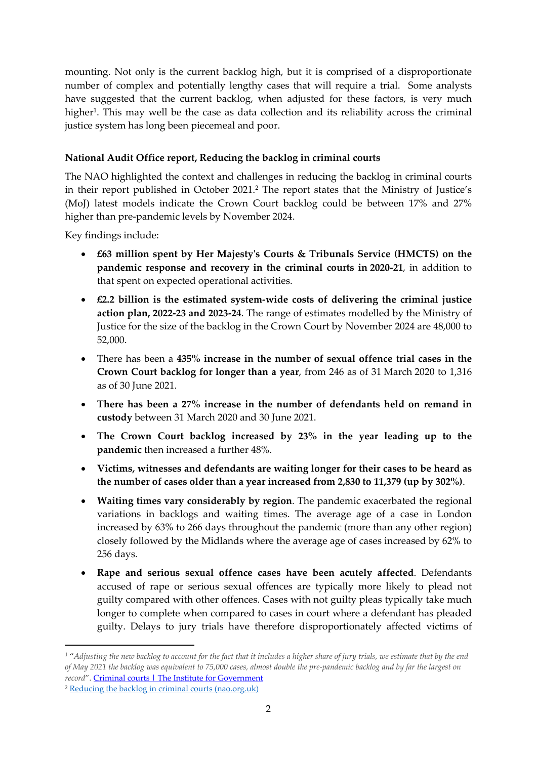mounting. Not only is the current backlog high, but it is comprised of a disproportionate number of complex and potentially lengthy cases that will require a trial. Some analysts have suggested that the current backlog, when adjusted for these factors, is very much higher<sup>1</sup>. This may well be the case as data collection and its reliability across the criminal justice system has long been piecemeal and poor.

# **National Audit Office report, Reducing the backlog in criminal courts**

The NAO highlighted the context and challenges in reducing the backlog in criminal courts in their report published in October 2021.<sup>2</sup> The report states that the Ministry of Justice's (MoJ) latest models indicate the Crown Court backlog could be between 17% and 27% higher than pre-pandemic levels by November 2024.

Key findings include:

- **£63 million spent by Her Majesty's Courts & Tribunals Service (HMCTS) on the pandemic response and recovery in the criminal courts in 2020-21**, in addition to that spent on expected operational activities.
- **£2.2 billion is the estimated system-wide costs of delivering the criminal justice action plan, 2022-23 and 2023-24**. The range of estimates modelled by the Ministry of Justice for the size of the backlog in the Crown Court by November 2024 are 48,000 to 52,000.
- There has been a **435% increase in the number of sexual offence trial cases in the Crown Court backlog for longer than a year**, from 246 as of 31 March 2020 to 1,316 as of 30 June 2021.
- **There has been a 27% increase in the number of defendants held on remand in custody** between 31 March 2020 and 30 June 2021.
- **The Crown Court backlog increased by 23% in the year leading up to the pandemic** then increased a further 48%.
- **Victims, witnesses and defendants are waiting longer for their cases to be heard as the number of cases older than a year increased from 2,830 to 11,379 (up by 302%)**.
- **Waiting times vary considerably by region**. The pandemic exacerbated the regional variations in backlogs and waiting times. The average age of a case in London increased by 63% to 266 days throughout the pandemic (more than any other region) closely followed by the Midlands where the average age of cases increased by 62% to 256 days.
- **Rape and serious sexual offence cases have been acutely affected**. Defendants accused of rape or serious sexual offences are typically more likely to plead not guilty compared with other offences. Cases with not guilty pleas typically take much longer to complete when compared to cases in court where a defendant has pleaded guilty. Delays to jury trials have therefore disproportionately affected victims of

<sup>&</sup>lt;sup>1</sup> "Adjusting the new backlog to account for the fact that it includes a higher share of jury trials, we estimate that by the end of May 2021 the backlog was equivalent to 75,000 cases, almost double the pre-pandemic backlog and by far the largest on *record*". [Criminal](https://www.instituteforgovernment.org.uk/publication/performance-tracker-2021/courts) [courts](https://www.instituteforgovernment.org.uk/publication/performance-tracker-2021/courts) [|](https://www.instituteforgovernment.org.uk/publication/performance-tracker-2021/courts) [The](https://www.instituteforgovernment.org.uk/publication/performance-tracker-2021/courts) [Institute](https://www.instituteforgovernment.org.uk/publication/performance-tracker-2021/courts) [for](https://www.instituteforgovernment.org.uk/publication/performance-tracker-2021/courts) [Government](https://www.instituteforgovernment.org.uk/publication/performance-tracker-2021/courts)

<sup>2</sup> [Reducing](https://www.nao.org.uk/wp-content/uploads/2021/10/Reducing-the-backlog-in-criminal-courts.pdf) [the](https://www.nao.org.uk/wp-content/uploads/2021/10/Reducing-the-backlog-in-criminal-courts.pdf) [backlog](https://www.nao.org.uk/wp-content/uploads/2021/10/Reducing-the-backlog-in-criminal-courts.pdf) [in](https://www.nao.org.uk/wp-content/uploads/2021/10/Reducing-the-backlog-in-criminal-courts.pdf) [criminal](https://www.nao.org.uk/wp-content/uploads/2021/10/Reducing-the-backlog-in-criminal-courts.pdf) [courts](https://www.nao.org.uk/wp-content/uploads/2021/10/Reducing-the-backlog-in-criminal-courts.pdf) [\(nao.org.uk\)](https://www.nao.org.uk/wp-content/uploads/2021/10/Reducing-the-backlog-in-criminal-courts.pdf)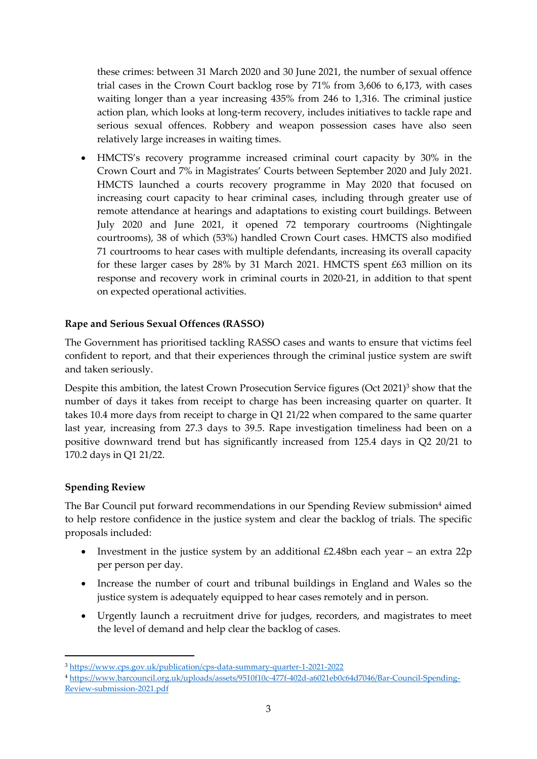these crimes: between 31 March 2020 and 30 June 2021, the number of sexual offence trial cases in the Crown Court backlog rose by 71% from 3,606 to 6,173, with cases waiting longer than a year increasing 435% from 246 to 1,316. The criminal justice action plan, which looks at long-term recovery, includes initiatives to tackle rape and serious sexual offences. Robbery and weapon possession cases have also seen relatively large increases in waiting times.

 HMCTS's recovery programme increased criminal court capacity by 30% in the Crown Court and 7% in Magistrates' Courts between September 2020 and July 2021. HMCTS launched a courts recovery programme in May 2020 that focused on increasing court capacity to hear criminal cases, including through greater use of remote attendance at hearings and adaptations to existing court buildings. Between July 2020 and June 2021, it opened 72 temporary courtrooms (Nightingale courtrooms), 38 of which (53%) handled Crown Court cases. HMCTS also modified 71 courtrooms to hear cases with multiple defendants, increasing its overall capacity for these larger cases by 28% by 31 March 2021. HMCTS spent £63 million on its response and recovery work in criminal courts in 2020-21, in addition to that spent on expected operational activities.

## **Rape and Serious Sexual Offences (RASSO)**

The Government has prioritised tackling RASSO cases and wants to ensure that victims feel confident to report, and that their experiences through the criminal justice system are swift and taken seriously.

Despite this ambition, the latest Crown Prosecution Service figures (Oct 2021)<sup>3</sup> show that the number of days it takes from receipt to charge has been increasing quarter on quarter. It takes 10.4 more days from receipt to charge in Q1 21/22 when compared to the same quarter last year, increasing from 27.3 days to 39.5. Rape investigation timeliness had been on a positive downward trend but has significantly increased from 125.4 days in Q2 20/21 to 170.2 days in Q1 21/22.

#### **Spending Review**

The Bar Council put forward recommendations in our Spending Review submission<sup>4</sup> aimed to help restore confidence in the justice system and clear the backlog of trials. The specific proposals included:

- Investment in the justice system by an additional  $£2.48$ bn each year an extra  $22p$ per person per day.
- Increase the number of court and tribunal buildings in England and Wales so the justice system is adequately equipped to hear cases remotely and in person.
- Urgently launch a recruitment drive for judges, recorders, and magistrates to meet the level of demand and help clear the backlog of cases.

<sup>3</sup> <https://www.cps.gov.uk/publication/cps-data-summary-quarter-1-2021-2022>

<sup>4</sup> [https://www.barcouncil.org.uk/uploads/assets/9510f10c-477f-402d-a6021eb0c64d7046/Bar-Council-Spending-](https://www.barcouncil.org.uk/uploads/assets/9510f10c-477f-402d-a6021eb0c64d7046/Bar-Council-Spending-Review-submission-2021.pdf)[Review-submission-2021.pdf](https://www.barcouncil.org.uk/uploads/assets/9510f10c-477f-402d-a6021eb0c64d7046/Bar-Council-Spending-Review-submission-2021.pdf)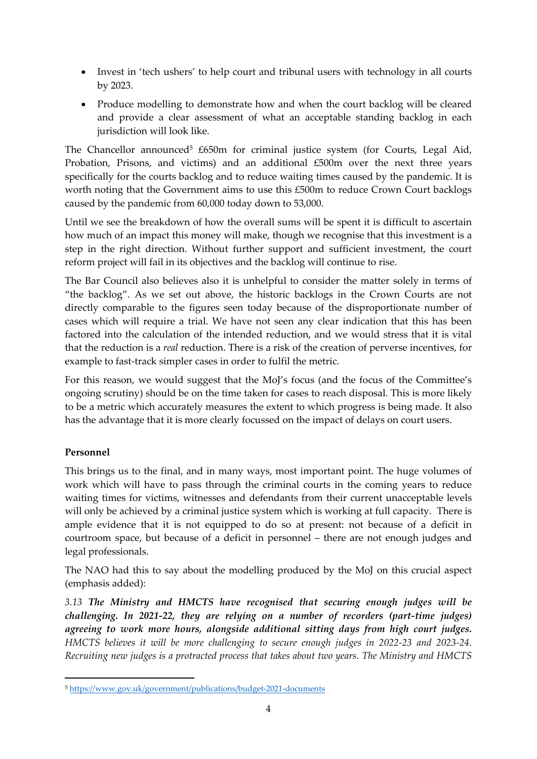- Invest in 'tech ushers' to help court and tribunal users with technology in all courts by 2023.
- Produce modelling to demonstrate how and when the court backlog will be cleared and provide a clear assessment of what an acceptable standing backlog in each jurisdiction will look like.

The Chancellor announced<sup>5</sup> £650m for criminal justice system (for Courts, Legal Aid, Probation, Prisons, and victims) and an additional £500m over the next three years specifically for the courts backlog and to reduce waiting times caused by the pandemic. It is worth noting that the Government aims to use this £500m to reduce Crown Court backlogs caused by the pandemic from 60,000 today down to 53,000.

Until we see the breakdown of how the overall sums will be spent it is difficult to ascertain how much of an impact this money will make, though we recognise that this investment is a step in the right direction. Without further support and sufficient investment, the court reform project will fail in its objectives and the backlog will continue to rise.

The Bar Council also believes also it is unhelpful to consider the matter solely in terms of "the backlog". As we set out above, the historic backlogs in the Crown Courts are not directly comparable to the figures seen today because of the disproportionate number of cases which will require a trial. We have not seen any clear indication that this has been factored into the calculation of the intended reduction, and we would stress that it is vital that the reduction is a *real* reduction. There is a risk of the creation of perverse incentives, for example to fast-track simpler cases in order to fulfil the metric.

For this reason, we would suggest that the MoJ's focus (and the focus of the Committee's ongoing scrutiny) should be on the time taken for cases to reach disposal. This is more likely to be a metric which accurately measures the extent to which progress is being made. It also has the advantage that it is more clearly focussed on the impact of delays on court users.

# **Personnel**

This brings us to the final, and in many ways, most important point. The huge volumes of work which will have to pass through the criminal courts in the coming years to reduce waiting times for victims, witnesses and defendants from their current unacceptable levels will only be achieved by a criminal justice system which is working at full capacity. There is ample evidence that it is not equipped to do so at present: not because of a deficit in courtroom space, but because of a deficit in personnel – there are not enough judges and legal professionals.

The NAO had this to say about the modelling produced by the MoJ on this crucial aspect (emphasis added):

*3.13 The Ministry and HMCTS have recognised that securing enough judges will be challenging. In 2021-22, they are relying on a number of recorders (part-time judges) agreeing to work more hours, alongside additional sitting days from high court judges. HMCTS believes it will be more challenging to secure enough judges in 2022-23 and 2023-24. Recruiting new judges is a protracted process that takes about two years. The Ministry and HMCTS*

<sup>5</sup> <https://www.gov.uk/government/publications/budget-2021-documents>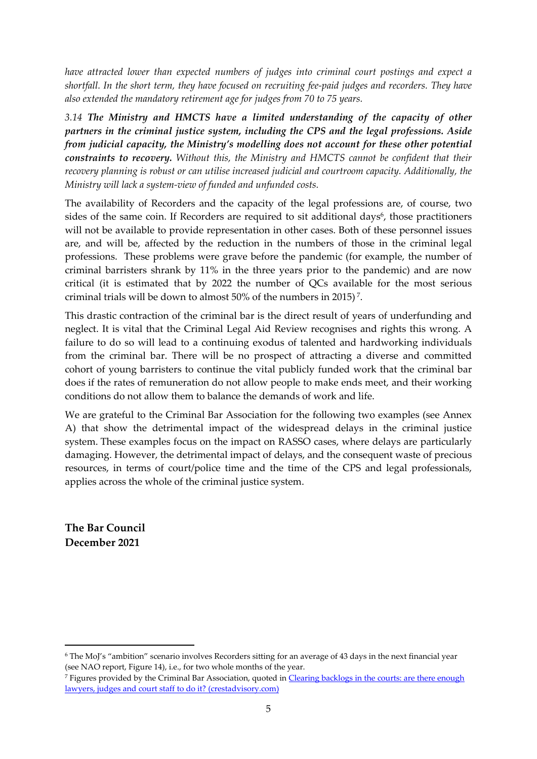*have attracted lower than expected numbers of judges into criminal court postings and expect a shortfall. In the short term, they have focused on recruiting fee-paid judges and recorders. They have also extended the mandatory retirement age for judges from 70 to 75 years.*

*3.14 The Ministry and HMCTS have a limited understanding of the capacity of other partners in the criminal justice system, including the CPS and the legal professions. Aside from judicial capacity, the Ministry's modelling does not account for these other potential constraints to recovery. Without this, the Ministry and HMCTS cannot be confident that their recovery planning is robust or can utilise increased judicial and courtroom capacity. Additionally, the Ministry will lack a system-view of funded and unfunded costs.*

The availability of Recorders and the capacity of the legal professions are, of course, two sides of the same coin. If Recorders are required to sit additional days<sup>6</sup>, those practitioners will not be available to provide representation in other cases. Both of these personnel issues are, and will be, affected by the reduction in the numbers of those in the criminal legal professions. These problems were grave before the pandemic (for example, the number of criminal barristers shrank by 11% in the three years prior to the pandemic) and are now critical (it is estimated that by 2022 the number of QCs available for the most serious criminal trials will be down to almost 50% of the numbers in 2015)<sup>7</sup>.

This drastic contraction of the criminal bar is the direct result of years of underfunding and neglect. It is vital that the Criminal Legal Aid Review recognises and rights this wrong. A failure to do so will lead to a continuing exodus of talented and hardworking individuals from the criminal bar. There will be no prospect of attracting a diverse and committed cohort of young barristers to continue the vital publicly funded work that the criminal bar does if the rates of remuneration do not allow people to make ends meet, and their working conditions do not allow them to balance the demands of work and life.

We are grateful to the Criminal Bar Association for the following two examples (see Annex A) that show the detrimental impact of the widespread delays in the criminal justice system. These examples focus on the impact on RASSO cases, where delays are particularly damaging. However, the detrimental impact of delays, and the consequent waste of precious resources, in terms of court/police time and the time of the CPS and legal professionals, applies across the whole of the criminal justice system.

**The Bar Council December 2021**

<sup>6</sup> The MoJ's "ambition" scenario involves Recorders sitting for an average of 43 days in the next financial year (see NAO report, Figure 14), i.e., for two whole months of the year.

<sup>7</sup> Figures provided by the Criminal Bar Association, quoted in [Clearing](https://www.crestadvisory.com/post/clearing-backlogs-in-the-courts-are-there-enough-lawyers-judges-and-court-staff-to-do-it) [backlogs](https://www.crestadvisory.com/post/clearing-backlogs-in-the-courts-are-there-enough-lawyers-judges-and-court-staff-to-do-it) [in](https://www.crestadvisory.com/post/clearing-backlogs-in-the-courts-are-there-enough-lawyers-judges-and-court-staff-to-do-it) [the](https://www.crestadvisory.com/post/clearing-backlogs-in-the-courts-are-there-enough-lawyers-judges-and-court-staff-to-do-it) [courts:](https://www.crestadvisory.com/post/clearing-backlogs-in-the-courts-are-there-enough-lawyers-judges-and-court-staff-to-do-it) [are](https://www.crestadvisory.com/post/clearing-backlogs-in-the-courts-are-there-enough-lawyers-judges-and-court-staff-to-do-it) [there](https://www.crestadvisory.com/post/clearing-backlogs-in-the-courts-are-there-enough-lawyers-judges-and-court-staff-to-do-it) [enough](https://www.crestadvisory.com/post/clearing-backlogs-in-the-courts-are-there-enough-lawyers-judges-and-court-staff-to-do-it) [lawyers,](https://www.crestadvisory.com/post/clearing-backlogs-in-the-courts-are-there-enough-lawyers-judges-and-court-staff-to-do-it) [judges](https://www.crestadvisory.com/post/clearing-backlogs-in-the-courts-are-there-enough-lawyers-judges-and-court-staff-to-do-it) [and](https://www.crestadvisory.com/post/clearing-backlogs-in-the-courts-are-there-enough-lawyers-judges-and-court-staff-to-do-it) [court](https://www.crestadvisory.com/post/clearing-backlogs-in-the-courts-are-there-enough-lawyers-judges-and-court-staff-to-do-it) [staff](https://www.crestadvisory.com/post/clearing-backlogs-in-the-courts-are-there-enough-lawyers-judges-and-court-staff-to-do-it) [to](https://www.crestadvisory.com/post/clearing-backlogs-in-the-courts-are-there-enough-lawyers-judges-and-court-staff-to-do-it) [do](https://www.crestadvisory.com/post/clearing-backlogs-in-the-courts-are-there-enough-lawyers-judges-and-court-staff-to-do-it) [it?](https://www.crestadvisory.com/post/clearing-backlogs-in-the-courts-are-there-enough-lawyers-judges-and-court-staff-to-do-it) [\(crestadvisory.com\)](https://www.crestadvisory.com/post/clearing-backlogs-in-the-courts-are-there-enough-lawyers-judges-and-court-staff-to-do-it)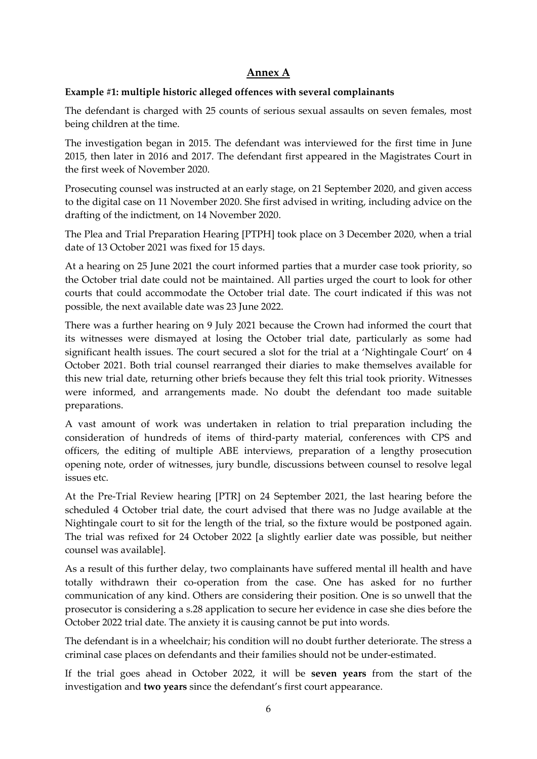## **Annex A**

#### **Example #1: multiple historic alleged offences with several complainants**

The defendant is charged with 25 counts of serious sexual assaults on seven females, most being children at the time.

The investigation began in 2015. The defendant was interviewed for the first time in June 2015, then later in 2016 and 2017. The defendant first appeared in the Magistrates Court in the first week of November 2020.

Prosecuting counsel was instructed at an early stage, on 21 September 2020, and given access to the digital case on 11 November 2020. She first advised in writing, including advice on the drafting of the indictment, on 14 November 2020.

The Plea and Trial Preparation Hearing [PTPH] took place on 3 December 2020, when a trial date of 13 October 2021 was fixed for 15 days.

At a hearing on 25 June 2021 the court informed parties that a murder case took priority, so the October trial date could not be maintained. All parties urged the court to look for other courts that could accommodate the October trial date. The court indicated if this was not possible, the next available date was 23 June 2022.

There was a further hearing on 9 July 2021 because the Crown had informed the court that its witnesses were dismayed at losing the October trial date, particularly as some had significant health issues. The court secured a slot for the trial at a 'Nightingale Court' on 4 October 2021. Both trial counsel rearranged their diaries to make themselves available for this new trial date, returning other briefs because they felt this trial took priority. Witnesses were informed, and arrangements made. No doubt the defendant too made suitable preparations.

A vast amount of work was undertaken in relation to trial preparation including the consideration of hundreds of items of third-party material, conferences with CPS and officers, the editing of multiple ABE interviews, preparation of a lengthy prosecution opening note, order of witnesses, jury bundle, discussions between counsel to resolve legal issues etc.

At the Pre-Trial Review hearing [PTR] on 24 September 2021, the last hearing before the scheduled 4 October trial date, the court advised that there was no Judge available at the Nightingale court to sit for the length of the trial, so the fixture would be postponed again. The trial was refixed for 24 October 2022 [a slightly earlier date was possible, but neither counsel was available].

As a result of this further delay, two complainants have suffered mental ill health and have totally withdrawn their co-operation from the case. One has asked for no further communication of any kind. Others are considering their position. One is so unwell that the prosecutor is considering a s.28 application to secure her evidence in case she dies before the October 2022 trial date. The anxiety it is causing cannot be put into words.

The defendant is in a wheelchair; his condition will no doubt further deteriorate. The stress a criminal case places on defendants and their families should not be under-estimated.

If the trial goes ahead in October 2022, it will be **seven years** from the start of the investigation and **two years** since the defendant's first court appearance.